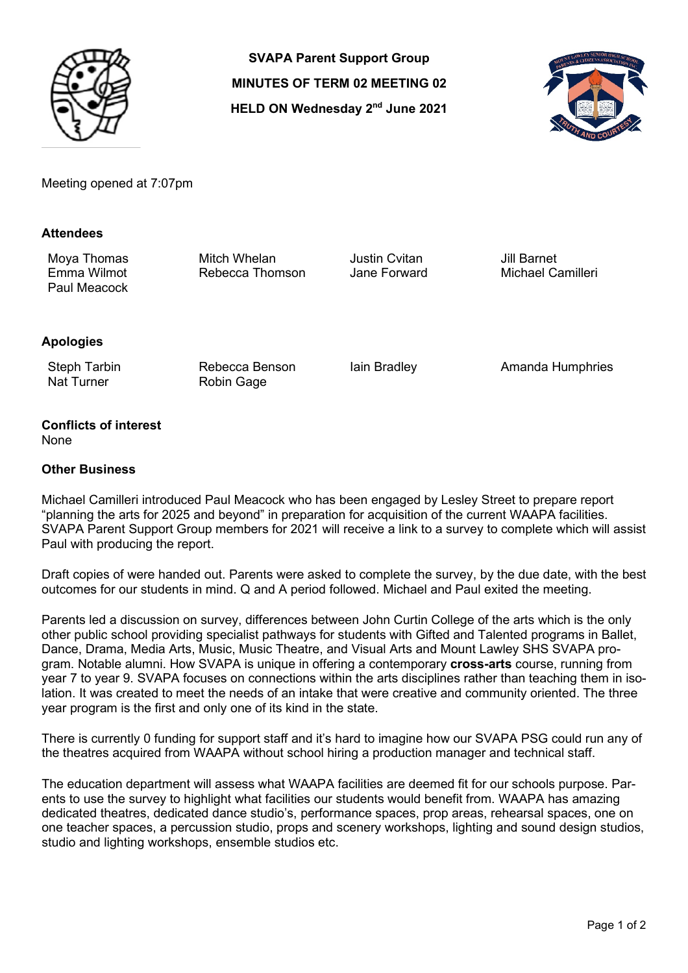

**SVAPA Parent Support Group MINUTES OF TERM 02 MEETING 02 HELD ON Wednesday 2nd June 2021**



Meeting opened at 7:07pm

### **Attendees**

Paul Meacock

Moya Thomas Mitch Whelan Justin Cvitan Jill Barnet Rebecca Thomson

# **Apologies**

Steph Tarbin Nat Turner

Rebecca Benson Robin Gage

Iain Bradley **Amanda Humphries** 

#### **Conflicts of interest** None

### **Other Business**

Michael Camilleri introduced Paul Meacock who has been engaged by Lesley Street to prepare report "planning the arts for 2025 and beyond" in preparation for acquisition of the current WAAPA facilities. SVAPA Parent Support Group members for 2021 will receive a link to a survey to complete which will assist Paul with producing the report.

Draft copies of were handed out. Parents were asked to complete the survey, by the due date, with the best outcomes for our students in mind. Q and A period followed. Michael and Paul exited the meeting.

Parents led a discussion on survey, differences between John Curtin College of the arts which is the only other public school providing specialist pathways for students with Gifted and Talented programs in Ballet, Dance, Drama, Media Arts, Music, Music Theatre, and Visual Arts and Mount Lawley SHS SVAPA program. Notable alumni. How SVAPA is unique in offering a contemporary **cross-arts** course, running from year 7 to year 9. SVAPA focuses on connections within the arts disciplines rather than teaching them in isolation. It was created to meet the needs of an intake that were creative and community oriented. The three year program is the first and only one of its kind in the state.

There is currently 0 funding for support staff and it's hard to imagine how our SVAPA PSG could run any of the theatres acquired from WAAPA without school hiring a production manager and technical staff.

The education department will assess what WAAPA facilities are deemed fit for our schools purpose. Parents to use the survey to highlight what facilities our students would benefit from. WAAPA has amazing dedicated theatres, dedicated dance studio's, performance spaces, prop areas, rehearsal spaces, one on one teacher spaces, a percussion studio, props and scenery workshops, lighting and sound design studios, studio and lighting workshops, ensemble studios etc.